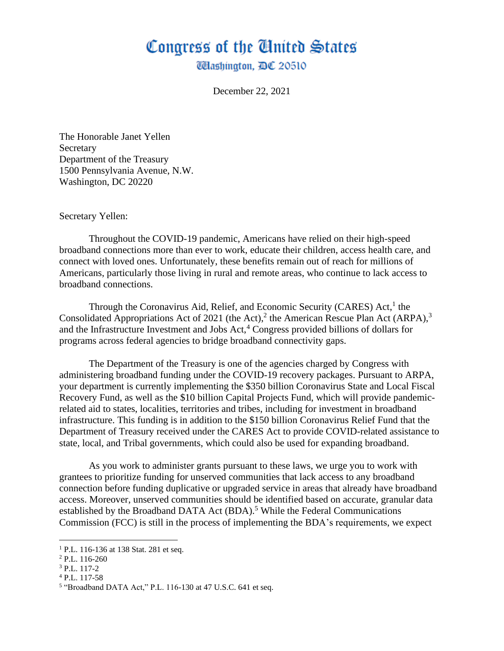## Congress of the Ginited States

**Washington, DC 20510** 

December 22, 2021

The Honorable Janet Yellen **Secretary** Department of the Treasury 1500 Pennsylvania Avenue, N.W. Washington, DC 20220

Secretary Yellen:

Throughout the COVID-19 pandemic, Americans have relied on their high-speed broadband connections more than ever to work, educate their children, access health care, and connect with loved ones. Unfortunately, these benefits remain out of reach for millions of Americans, particularly those living in rural and remote areas, who continue to lack access to broadband connections.

Through the Coronavirus Aid, Relief, and Economic Security (CARES) Act,<sup>1</sup> the Consolidated Appropriations Act of 2021 (the Act),<sup>2</sup> the American Rescue Plan Act (ARPA),<sup>3</sup> and the Infrastructure Investment and Jobs Act, $4$  Congress provided billions of dollars for programs across federal agencies to bridge broadband connectivity gaps.

The Department of the Treasury is one of the agencies charged by Congress with administering broadband funding under the COVID-19 recovery packages. Pursuant to ARPA, your department is currently implementing the \$350 billion Coronavirus State and Local Fiscal Recovery Fund, as well as the \$10 billion Capital Projects Fund, which will provide pandemicrelated aid to states, localities, territories and tribes, including for investment in broadband infrastructure. This funding is in addition to the \$150 billion Coronavirus Relief Fund that the Department of Treasury received under the CARES Act to provide COVID-related assistance to state, local, and Tribal governments, which could also be used for expanding broadband.

As you work to administer grants pursuant to these laws, we urge you to work with grantees to prioritize funding for unserved communities that lack access to any broadband connection before funding duplicative or upgraded service in areas that already have broadband access. Moreover, unserved communities should be identified based on accurate, granular data established by the Broadband DATA Act (BDA).<sup>5</sup> While the Federal Communications Commission (FCC) is still in the process of implementing the BDA's requirements, we expect

<sup>4</sup> P.L. 117-58

<sup>&</sup>lt;sup>1</sup> P.L. 116-136 at 138 Stat. 281 et seq.

<sup>2</sup> P.L. 116-260

<sup>3</sup> P.L. 117-2

<sup>&</sup>lt;sup>5</sup> "Broadband DATA Act," P.L. 116-130 at 47 U.S.C. 641 et seq.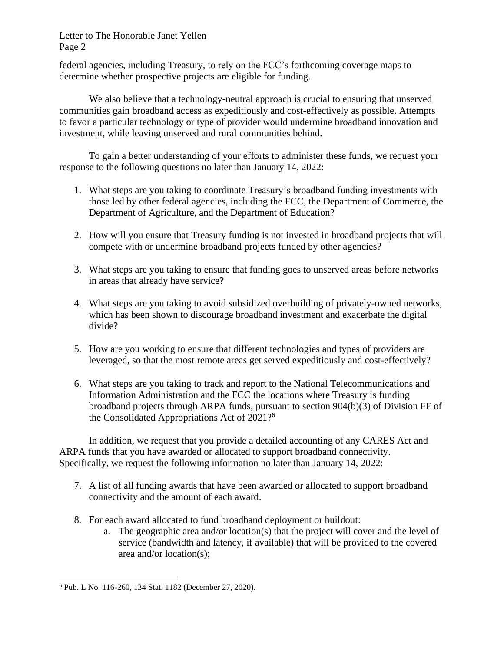## Letter to The Honorable Janet Yellen Page 2

federal agencies, including Treasury, to rely on the FCC's forthcoming coverage maps to determine whether prospective projects are eligible for funding.

We also believe that a technology-neutral approach is crucial to ensuring that unserved communities gain broadband access as expeditiously and cost-effectively as possible. Attempts to favor a particular technology or type of provider would undermine broadband innovation and investment, while leaving unserved and rural communities behind.

To gain a better understanding of your efforts to administer these funds, we request your response to the following questions no later than January 14, 2022:

- 1. What steps are you taking to coordinate Treasury's broadband funding investments with those led by other federal agencies, including the FCC, the Department of Commerce, the Department of Agriculture, and the Department of Education?
- 2. How will you ensure that Treasury funding is not invested in broadband projects that will compete with or undermine broadband projects funded by other agencies?
- 3. What steps are you taking to ensure that funding goes to unserved areas before networks in areas that already have service?
- 4. What steps are you taking to avoid subsidized overbuilding of privately-owned networks, which has been shown to discourage broadband investment and exacerbate the digital divide?
- 5. How are you working to ensure that different technologies and types of providers are leveraged, so that the most remote areas get served expeditiously and cost-effectively?
- 6. What steps are you taking to track and report to the National Telecommunications and Information Administration and the FCC the locations where Treasury is funding broadband projects through ARPA funds, pursuant to section 904(b)(3) of Division FF of the Consolidated Appropriations Act of 2021?<sup>6</sup>

In addition, we request that you provide a detailed accounting of any CARES Act and ARPA funds that you have awarded or allocated to support broadband connectivity. Specifically, we request the following information no later than January 14, 2022:

- 7. A list of all funding awards that have been awarded or allocated to support broadband connectivity and the amount of each award.
- 8. For each award allocated to fund broadband deployment or buildout:
	- a. The geographic area and/or location(s) that the project will cover and the level of service (bandwidth and latency, if available) that will be provided to the covered area and/or location(s);

<sup>6</sup> Pub. L No. 116-260, 134 Stat. 1182 (December 27, 2020).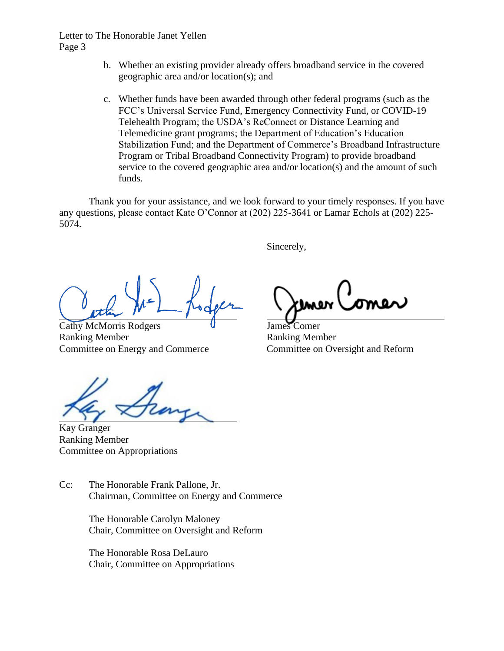## Letter to The Honorable Janet Yellen Page 3

- b. Whether an existing provider already offers broadband service in the covered geographic area and/or location(s); and
- c. Whether funds have been awarded through other federal programs (such as the FCC's Universal Service Fund, Emergency Connectivity Fund, or COVID-19 Telehealth Program; the USDA's ReConnect or Distance Learning and Telemedicine grant programs; the Department of Education's Education Stabilization Fund; and the Department of Commerce's Broadband Infrastructure Program or Tribal Broadband Connectivity Program) to provide broadband service to the covered geographic area and/or location(s) and the amount of such funds.

Thank you for your assistance, and we look forward to your timely responses. If you have any questions, please contact Kate O'Connor at (202) 225-3641 or Lamar Echols at (202) 225- 5074.

Sincerely,

Cathy McMorris Rodgers **U** James Comer Ranking Member **Ranking Member** Committee on Energy and Commerce Committee on Oversight and Reform

Kay Granger Ranking Member Committee on Appropriations

Cc: The Honorable Frank Pallone, Jr. Chairman, Committee on Energy and Commerce

> The Honorable Carolyn Maloney Chair, Committee on Oversight and Reform

The Honorable Rosa DeLauro Chair, Committee on Appropriations